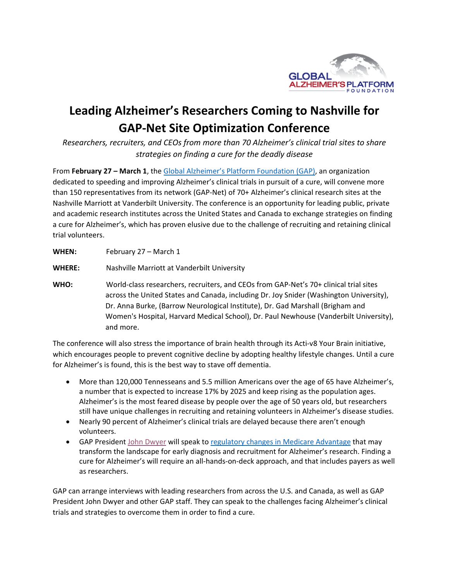

## **Leading Alzheimer's Researchers Coming to Nashville for GAP‐Net Site Optimization Conference**

*Researchers, recruiters, and CEOs from more than 70 Alzheimer's clinical trial sites to share strategies on finding a cure for the deadly disease* 

From **February 27 – March 1**, the Global Alzheimer's Platform Foundation (GAP), an organization dedicated to speeding and improving Alzheimer's clinical trials in pursuit of a cure, will convene more than 150 representatives from its network (GAP‐Net) of 70+ Alzheimer's clinical research sites at the Nashville Marriott at Vanderbilt University. The conference is an opportunity for leading public, private and academic research institutes across the United States and Canada to exchange strategies on finding a cure for Alzheimer's, which has proven elusive due to the challenge of recruiting and retaining clinical trial volunteers.

**WHEN:**  February 27 – March 1

**WHERE:**  Nashville Marriott at Vanderbilt University

**WHO:** World-class researchers, recruiters, and CEOs from GAP-Net's 70+ clinical trial sites across the United States and Canada, including Dr. Joy Snider (Washington University), Dr. Anna Burke, (Barrow Neurological Institute), Dr. Gad Marshall (Brigham and Women's Hospital, Harvard Medical School), Dr. Paul Newhouse (Vanderbilt University), and more.

The conference will also stress the importance of brain health through its Acti‐v8 Your Brain initiative, which encourages people to prevent cognitive decline by adopting healthy lifestyle changes. Until a cure for Alzheimer's is found, this is the best way to stave off dementia.

- More than 120,000 Tennesseans and 5.5 million Americans over the age of 65 have Alzheimer's, a number that is expected to increase 17% by 2025 and keep rising as the population ages. Alzheimer's is the most feared disease by people over the age of 50 years old, but researchers still have unique challenges in recruiting and retaining volunteers in Alzheimer's disease studies.
- Nearly 90 percent of Alzheimer's clinical trials are delayed because there aren't enough volunteers.
- GAP President John Dwyer will speak to regulatory changes in Medicare Advantage that may transform the landscape for early diagnosis and recruitment for Alzheimer's research. Finding a cure for Alzheimer's will require an all‐hands‐on‐deck approach, and that includes payers as well as researchers.

GAP can arrange interviews with leading researchers from across the U.S. and Canada, as well as GAP President John Dwyer and other GAP staff. They can speak to the challenges facing Alzheimer's clinical trials and strategies to overcome them in order to find a cure.